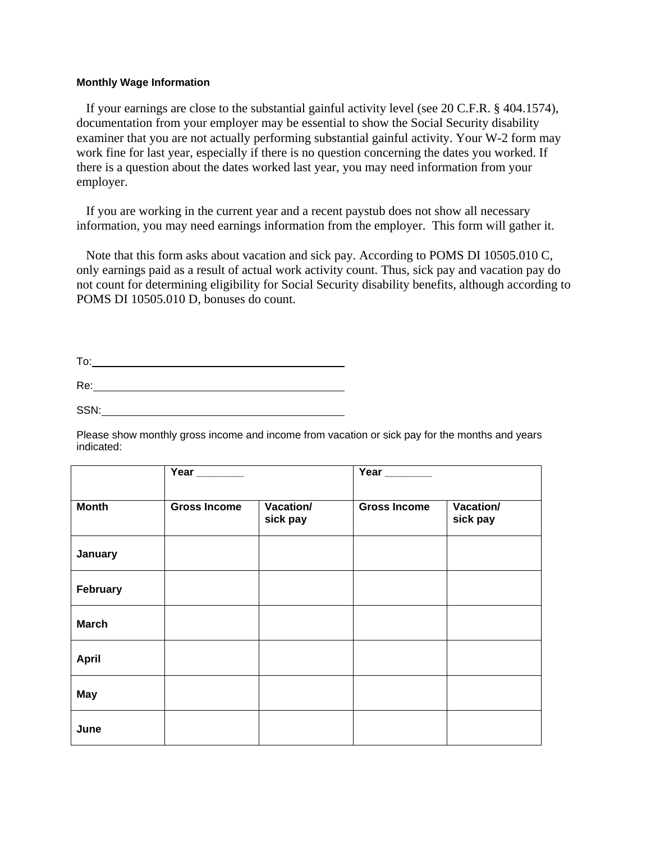## **Monthly Wage Information**

 If your earnings are close to the substantial gainful activity level (see 20 C.F.R. § 404.1574), documentation from your employer may be essential to show the Social Security disability examiner that you are not actually performing substantial gainful activity. Your W-2 form may work fine for last year, especially if there is no question concerning the dates you worked. If there is a question about the dates worked last year, you may need information from your employer.

 If you are working in the current year and a recent paystub does not show all necessary information, you may need earnings information from the employer. This form will gather it.

 Note that this form asks about vacation and sick pay. According to POMS DI 10505.010 C, only earnings paid as a result of actual work activity count. Thus, sick pay and vacation pay do not count for determining eligibility for Social Security disability benefits, although according to POMS DI 10505.010 D, bonuses do count.

| To:  |  |  |  |
|------|--|--|--|
| Re:  |  |  |  |
| SSN: |  |  |  |

Please show monthly gross income and income from vacation or sick pay for the months and years indicated:

|              | Year $\_\_\_\_\_\_\_\_\$ |                       | Year _______        |                       |
|--------------|--------------------------|-----------------------|---------------------|-----------------------|
| <b>Month</b> | <b>Gross Income</b>      | Vacation/<br>sick pay | <b>Gross Income</b> | Vacation/<br>sick pay |
| January      |                          |                       |                     |                       |
| February     |                          |                       |                     |                       |
| <b>March</b> |                          |                       |                     |                       |
| <b>April</b> |                          |                       |                     |                       |
| <b>May</b>   |                          |                       |                     |                       |
| June         |                          |                       |                     |                       |